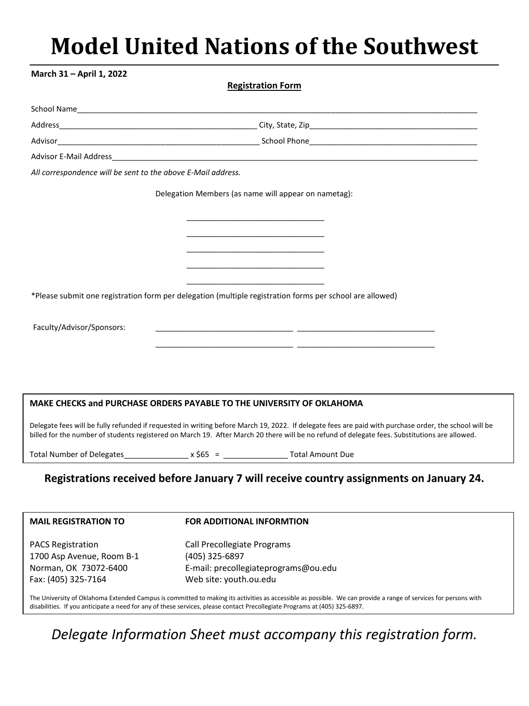# **Model United Nations of the Southwest**

| March 31 - April 1, 2022                                     |                                                                                                                                                                                                                                                                                                        |
|--------------------------------------------------------------|--------------------------------------------------------------------------------------------------------------------------------------------------------------------------------------------------------------------------------------------------------------------------------------------------------|
|                                                              | <b>Registration Form</b>                                                                                                                                                                                                                                                                               |
|                                                              |                                                                                                                                                                                                                                                                                                        |
|                                                              |                                                                                                                                                                                                                                                                                                        |
|                                                              |                                                                                                                                                                                                                                                                                                        |
|                                                              | Advisor E-Mail Address <b>Advisor Contains and Advisor Contains and Advisor E-Mail Address</b>                                                                                                                                                                                                         |
| All correspondence will be sent to the above E-Mail address. |                                                                                                                                                                                                                                                                                                        |
|                                                              | Delegation Members (as name will appear on nametag):                                                                                                                                                                                                                                                   |
|                                                              |                                                                                                                                                                                                                                                                                                        |
|                                                              |                                                                                                                                                                                                                                                                                                        |
|                                                              |                                                                                                                                                                                                                                                                                                        |
|                                                              |                                                                                                                                                                                                                                                                                                        |
|                                                              | *Please submit one registration form per delegation (multiple registration forms per school are allowed)                                                                                                                                                                                               |
|                                                              |                                                                                                                                                                                                                                                                                                        |
| Faculty/Advisor/Sponsors:                                    |                                                                                                                                                                                                                                                                                                        |
|                                                              |                                                                                                                                                                                                                                                                                                        |
|                                                              |                                                                                                                                                                                                                                                                                                        |
|                                                              |                                                                                                                                                                                                                                                                                                        |
|                                                              |                                                                                                                                                                                                                                                                                                        |
|                                                              | MAKE CHECKS and PURCHASE ORDERS PAYABLE TO THE UNIVERSITY OF OKLAHOMA                                                                                                                                                                                                                                  |
|                                                              | Delegate fees will be fully refunded if requested in writing before March 19, 2022. If delegate fees are paid with purchase order, the school will be<br>billed for the number of students registered on March 19. After March 20 there will be no refund of delegate fees. Substitutions are allowed. |
| <b>Total Number of Delegates</b>                             | <b>Total Amount Due</b>                                                                                                                                                                                                                                                                                |
|                                                              | Registrations received before January 7 will receive country assignments on January 24.                                                                                                                                                                                                                |
|                                                              |                                                                                                                                                                                                                                                                                                        |
| <b>MAIL REGISTRATION TO</b>                                  | <b>FOR ADDITIONAL INFORMTION</b>                                                                                                                                                                                                                                                                       |
| <b>PACS Registration</b>                                     | Call Precollegiate Programs                                                                                                                                                                                                                                                                            |
| 1700 Asp Avenue, Room B-1                                    | (405) 325-6897                                                                                                                                                                                                                                                                                         |
|                                                              |                                                                                                                                                                                                                                                                                                        |
| Norman, OK 73072-6400<br>Fax: (405) 325-7164                 | E-mail: precollegiateprograms@ou.edu<br>Web site: youth.ou.edu                                                                                                                                                                                                                                         |
|                                                              | The University of Oklahoma Extended Campus is committed to making its activities as accessible as possible. We can provide a range of services for persons with<br>disabilities. If you anticipate a need for any of these services, please contact Precollegiate Programs at (405) 325-6897.          |

# *Delegate Information Sheet must accompany this registration form.*